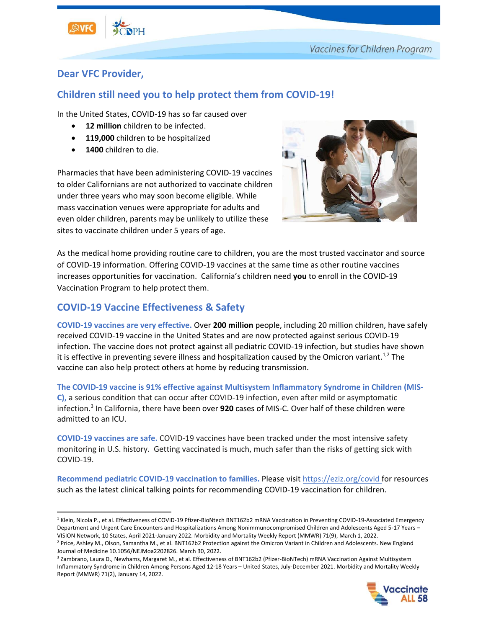

## **Dear VFC Provider,**

# **Children still need you to help protect them from COVID-19!**

In the United States, COVID-19 has so far caused over

- 12 million children to be infected.
- **119,000** children to be hospitalized
- **1400** children to die.

Pharmacies that have been administering COVID-19 vaccines to older Californians are not authorized to vaccinate children under three years who may soon become eligible. While mass vaccination venues were appropriate for adults and even older children, parents may be unlikely to utilize these sites to vaccinate children under 5 years of age.



As the medical home providing routine care to children, you are the most trusted vaccinator and source of COVID-19 information. Offering COVID-19 vaccines at the same time as other routine vaccines increases opportunities for vaccination. California's children need **you** to enroll in the COVID-19 Vaccination Program to help protect them.

# **COVID-19 Vaccine Effectiveness & Safety**

**COVID-19 vaccines are very effective.** Over **200 million** people, including 20 million children, have safely received COVID-19 vaccine in the United States and are now protected against serious COVID-19 infection. The vaccine does not protect against all pediatric COVID-19 infection, but studies have shown it is effective in preventing severe illness and hospitalization caused by the Omicron variant.<sup>1,2</sup> The vaccine can also help protect others at home by reducing transmission.

**The COVID-19 vaccine is 91% effective against Multisystem Inflammatory Syndrome in Children (MIS-C),** a serious condition that can occur after COVID-19 infection, even after mild or asymptomatic infection. 3 In California, there have been over **920** cases of MIS-C. Over half of these children were admitted to an ICU.

**COVID-19 vaccines are safe.** COVID-19 vaccines have been tracked under the most intensive safety monitoring in U.S. history. Getting vaccinated is much, much safer than the risks of getting sick with COVID-19.

**Recommend pediatric COVID-19 vaccination to families.** Please visit <https://eziz.org/covid> for resources such as the latest clinical talking points for recommending COVID-19 vaccination for children.

<sup>&</sup>lt;sup>3</sup> Zambrano, Laura D., Newhams, Margaret M., et al. Effectiveness of BNT162b2 (Pfizer-BioNTech) mRNA Vaccination Against Multisystem Inflammatory Syndrome in Children Among Persons Aged 12-18 Years – United States, July-December 2021. Morbidity and Mortality Weekly Report (MMWR) 71(2), January 14, 2022.



<sup>&</sup>lt;sup>1</sup> Klein, Nicola P., et al. Effectiveness of COVID-19 Pfizer-BioNtech BNT162b2 mRNA Vaccination in Preventing COVID-19-Associated Emergency Department and Urgent Care Encounters and Hospitalizations Among Nonimmunocompromised Children and Adolescents Aged 5-17 Years – VISION Network, 10 States, April 2021-January 2022. Morbidity and Mortality Weekly Report (MMWR) 71(9), March 1, 2022.

<sup>&</sup>lt;sup>2</sup> Price, Ashley M., Olson, Samantha M., et al. BNT162b2 Protection against the Omicron Variant in Children and Adolescents. New England Journal of Medicine 10.1056/NEJMoa2202826. March 30, 2022.